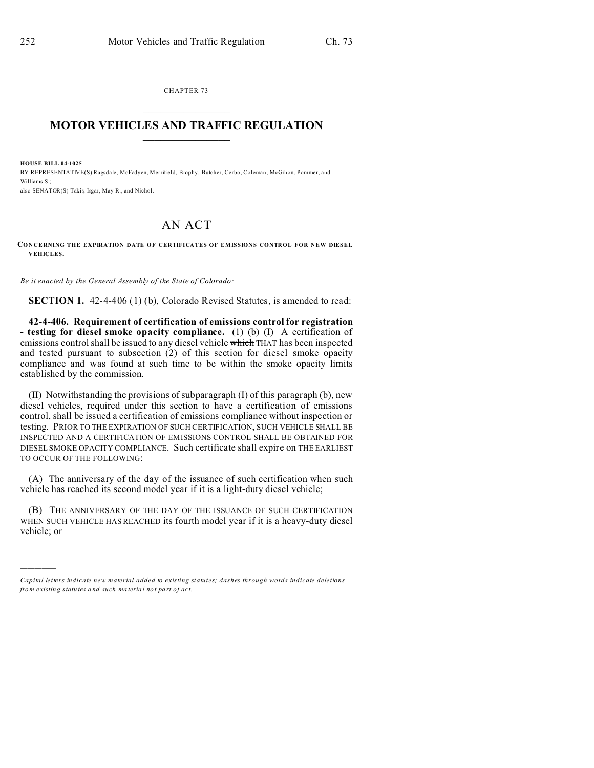CHAPTER 73  $\overline{\phantom{a}}$  , where  $\overline{\phantom{a}}$ 

## **MOTOR VEHICLES AND TRAFFIC REGULATION**  $\frac{1}{2}$  ,  $\frac{1}{2}$  ,  $\frac{1}{2}$  ,  $\frac{1}{2}$  ,  $\frac{1}{2}$  ,  $\frac{1}{2}$  ,  $\frac{1}{2}$

**HOUSE BILL 04-1025**

)))))

BY REPRESENTATIVE(S) Ragsdale, McFadyen, Merrifield, Brophy, Butcher, Cerbo, Coleman, McGihon, Pommer, and Williams S.; also SENATOR(S) Takis, Isgar, May R., and Nichol.

## AN ACT

## **CONCERNING THE EXPIRATION DATE OF CERTIFICATES OF EMISSIONS CONTROL FOR NEW DIESEL VEHICLES.**

*Be it enacted by the General Assembly of the State of Colorado:*

**SECTION 1.** 42-4-406 (1) (b), Colorado Revised Statutes, is amended to read:

**42-4-406. Requirement of certification of emissions control for registration - testing for diesel smoke opacity compliance.** (1) (b) (I) A certification of emissions control shall be issued to any diesel vehicle which THAT has been inspected and tested pursuant to subsection (2) of this section for diesel smoke opacity compliance and was found at such time to be within the smoke opacity limits established by the commission.

(II) Notwithstanding the provisions of subparagraph (I) of this paragraph (b), new diesel vehicles, required under this section to have a certification of emissions control, shall be issued a certification of emissions compliance without inspection or testing. PRIOR TO THE EXPIRATION OF SUCH CERTIFICATION, SUCH VEHICLE SHALL BE INSPECTED AND A CERTIFICATION OF EMISSIONS CONTROL SHALL BE OBTAINED FOR DIESEL SMOKE OPACITY COMPLIANCE. Such certificate shall expire on THE EARLIEST TO OCCUR OF THE FOLLOWING:

(A) The anniversary of the day of the issuance of such certification when such vehicle has reached its second model year if it is a light-duty diesel vehicle;

(B) THE ANNIVERSARY OF THE DAY OF THE ISSUANCE OF SUCH CERTIFICATION WHEN SUCH VEHICLE HAS REACHED its fourth model year if it is a heavy-duty diesel vehicle; or

*Capital letters indicate new material added to existing statutes; dashes through words indicate deletions from e xistin g statu tes a nd such ma teria l no t pa rt of ac t.*